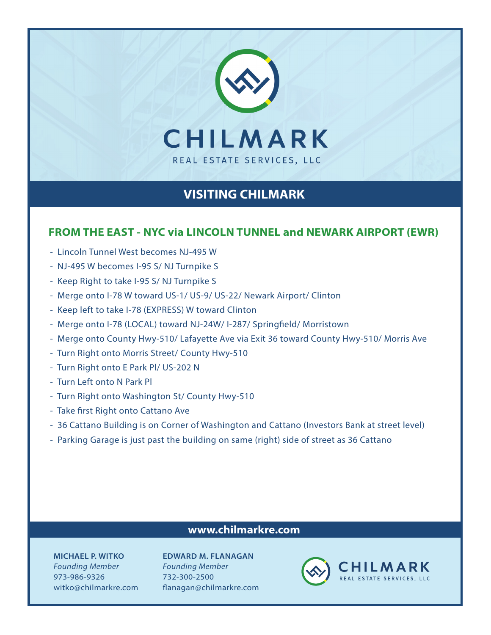

# **VISITING CHILMARK**

#### **FROM THE EAST - NYC via LINCOLN TUNNEL and NEWARK AIRPORT (EWR)**

- Lincoln Tunnel West becomes NJ-495 W
- NJ-495 W becomes I-95 S/ NJ Turnpike S
- Keep Right to take I-95 S/ NJ Turnpike S
- Merge onto I-78 W toward US-1/ US-9/ US-22/ Newark Airport/ Clinton
- Keep left to take I-78 (EXPRESS) W toward Clinton
- Merge onto I-78 (LOCAL) toward NJ-24W/ I-287/ Springfield/ Morristown
- Merge onto County Hwy-510/ Lafayette Ave via Exit 36 toward County Hwy-510/ Morris Ave
- Turn Right onto Morris Street/ County Hwy-510
- Turn Right onto E Park Pl/ US-202 N
- Turn Left onto N Park Pl
- Turn Right onto Washington St/ County Hwy-510
- Take first Right onto Cattano Ave
- 36 Cattano Building is on Corner of Washington and Cattano (Investors Bank at street level)
- Parking Garage is just past the building on same (right) side of street as 36 Cattano

### **www.chilmarkre.com**

**MICHAEL P. WITKO** *Founding Member* 973-986-9326 witko@chilmarkre.com

**EDWARD M. FLANAGAN** *Founding Member* 732-300-2500 flanagan@chilmarkre.com